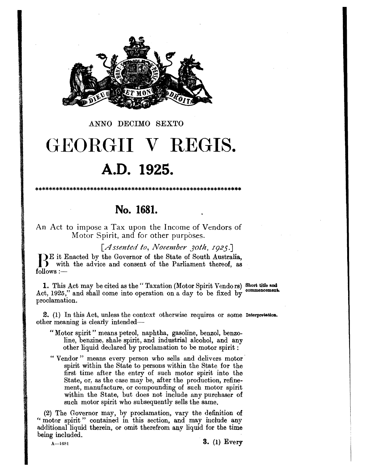

ANNO DECIMO SEXTO

# GEORGII V REGIS. A.D. 1925.

No. 1681.

An Act to impose a Tax upon the Income of Vendors of Motor Spirit, and for other purposes.

[Assented to, November 30th, 1925.]

JE it Enacted by the Governor of the State of South Australia,<br>
I with the advice and consent of the Parliament thereof, as  $follows :=$ 

1. This Act may be cited as the "Taxation (Motor Spirit Vendors) Short title and commencement. Act, 1925," and shall come into operation on a day to be fixed by proclamation.

2. (1) In this Act, unless the context otherwise requires or some Interpretation. other meaning is clearly intended—

- "Motor spirit" means petrol, naphtha, gasoline, benzol, benzoline, benzine, shale spirit, and industrial alcohol, and any other liquid declared by proclamation to be motor spirit:
- "Vendor" means every person who sells and delivers motor spirit within the State to persons within the State for the first time after the entry of such motor spirit into the State, or, as the case may be, after the production, refinement, manufacture, or compounding of such motor spirit within the State, but does not include any purchaser of such motor spirit who subsequently sells the same.

(2) The Governor may, by proclamation, vary the definition of "motor spirit" contained in this section, and may include any additional liquid therein, or omit therefrom any liquid for the time being included.

 $A - 1681$ 

 $3. (1) Every$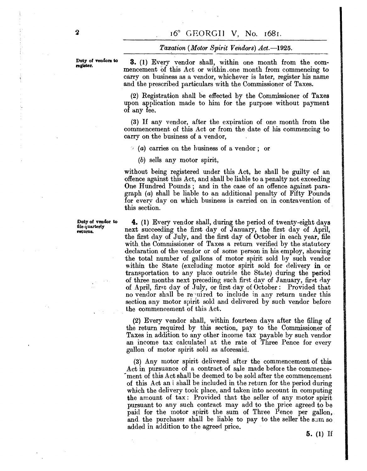#### *TaXf!tion (Motor Spirit Vendors) Act.-1925.*

Duty of vendors to register.

**3.** (1) Every vendor shall, within one month from the commencement of this Act or within. one month from commencing to carry on business as a vendor, whichever is later, register his name and the prescribed particulars with the Commissioner of Taxes.

(2) Registration shall be effected by the Commissioner of Taxes upon application made to him for the purpose without payment of any fee.

 $(3)$  If any vendor, after the expiration of one month from the commencement of this Act or from the date of his commencing to carryon the business of a vendor,

 $(a)$  carries on the business of a vendor; or

(b) sells any motor spirit,

without being registered under this Act, he shall be guilty of an offence against this Act, and shall be liable to a penalty not exceeding One Hundred Pounds; and in the case of an offence against paragraph (a) shall be liable to an additional penalty of Fifty Pounds for every day on which business is carried on in contravention of this section.

**4.** (1) Every vendor shall, during the period of twenty-eight days next succeeding the first day of January, the first day of April, the first day of July, and the first day of October in each year, file with the Commissioner of Taxes a return verified by the statutory declaration of the vendor or of some person in his employ, showing the total number of gallons of motor spirit sold by such vendor within the State (excluding motor spirit sold for delivery in or transportation to any place outside the State) during the period of three months next preceding such first day of January, first day of April, first day of July, or first day of October: Provided that no vendor shall be required to include in any return under this section any motor spirit sold and delivered by such vendor before the commencement of this Act.

(2) Every vendor shall, within fourteen days after the filing of the return required by this section, pay to the Commissioner of Taxes in addition to any other income tax payable by such vendor an income tax calculated at the rate of Three Pence for every .gallon of motor spirit sold as aforesaid.

(3) Any motor spirit delivered after the commencement of this Act in pursuance of a contract of sale made before the commencement of this Act shall be deemed to be sold after the commencement of this Act an t shall be included in the return for the period during which the delivery took place, and taken into account in computing the amount of tax: Provided that the seller of any motor spirit pursuant to any such contract may add to the price agreed to be paid for the motor spirit the sum of Three Pence per gallon, and the purchaser shall be liable to pay to the seller the sum so added in addition to the agreed price.

Duty of vendor to file quarterly returns.

**5.** (1) If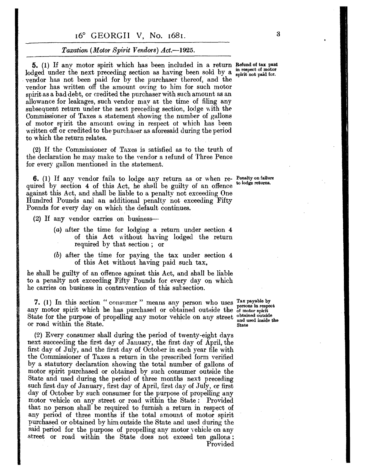### 16° GEORGII V, No. 1681. 3

#### *Taxation (Motor Spirit Vendors) Act.-1925.*

**5.** (1) If any motor spirit which has been included in a return Refund of tax paid 1. The discrete of motor spirit which has been increased in a return and the intersect of motor lodged under the next preceding section as having been sold by a spirit not paid for. . vendor has not been paid for by the purchaser thereof, and the vendor has written off the amount owing to him for such motor spirit as a bad debt, or credited the purchaser with such amount as an allowance for leakages, such vendor may at the time of filing any subsequent return under the next preceding section,  $\log e$  with the. Commissioner of Taxes a statement showing the number of gallons of motor sririt the amount owing in respect ot which has been written off or credited to the purchaser as aforesaid during the period to which the return relates.

(2) If the Commissioner of Taxes is satisfied as to the truth of the declaration he may make to the vendor a refund of Three Pence for every gallon mentioned in the statement.

**6.** (1) If any vendor fails to lodge any return as or when re- Penalty on failure quired by section 4 of this Act, he shall be guilty of an offence against this Act, and shall be liable to a penalty not exceeding One Hundred Pounds and an additional penalty not exceeding Fifty Pounds for every day on which the default continues.

(2) If any vendor carries on business---

- $(a)$  after the time for  $loading$  a return under section  $4$ of this Act without having lodged the return required by that section; or
- (b) after the time for paying the tax under section 4 of this Act without having paid such tax,

he shall be guilty of an offence against this Act, and shall be liable to a penalty not exceeding Fifty Pounds for every day on which he carries on business in contravention of this subsection.

7. (1) In this section " consumer" means any person who uses  $\frac{\text{Tax payable by}}{\text{3.1}}$  $\lambda$ . (1) In this section consumer means any person who uses persons in respect any motor spirit which he has purchased or obtained outside the of motor spirit State for the purpose of propelling any motor vehicle on any street obtained outside the or road within the State.

(2) Every consumer shall during the period of twenty-eight days next succeeding the first day of January, the first day of April, the first day of July, and the first day of October in each year file with the Commissioner of Taxes a return in the prescribed form verified by a statutory declaration showing the total number of gallons of motor spirit purchased or obtained by such consumer outside the State and used during the period of three months next preceding such first day of January, first day of April, first day of July, or first day of October by such consumer for the purpose of propelling any motor vehicle on any street or road within the State: Provided that no person shall be required to furnish a return in respect of any period of three months if the total amount of motor spirit purchased or obtained by him outside the State and used during the said period for the purpose of propelling any motor vehicle on any .street or road within the State does not exceed ten gallons: Provided

to lodge returns.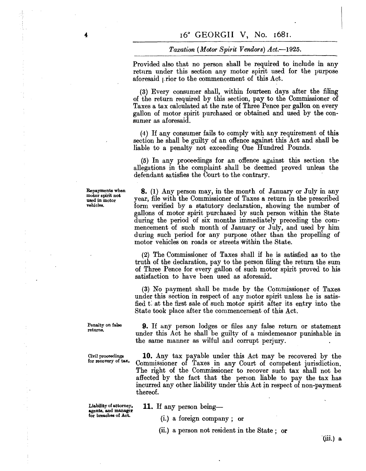#### *Taxation (Motor Spirit Vendors) Act.-1925.*

Provided also that no person shall be required to include in any return under this section any motor spirit used for the purpose aforesaid  $\mu$  rior to the commencement of this Act.

(3) Every consumer shall, within fourteen days after the filing of the return required by this section, pay to the Commissioner of Taxes a tax calculated at the rate of Three Pence per gallon on every gallon of motor spirit purchased or obtained and used by the consumer as aforesaid.

(4) If any consumer fails to comply with any requirement of this section he shall be guilty of an offence against this Act and shall be liable to a penalty not exceeding One Hundred Pounds.

(5) In any proceedings for an offence against this section the allegations in the complaint shall be deemed proved unless the defendant satisfies the Court to the contrary.

**8.** (1) Any person may, in the month of January or July in any year, file with the Commissioner of Taxes a return in the prescribed form verified by a statutory declaration, showing the number of gallons of motor spirit purchased by such person within the State during the period of six months immediately preceding the commencement of such month of January or July, and used by him during such period for any purpose other than the propelling of

(2) The Commissioner of Taxes shall if he is satisfied as to the truth of the declaration, pay to the person filing the return the sum of Three Pence for every gallon of such motor spirit proved to his

(3) No payment shall be made by the Commissioner of Taxes under this section in respect of any motor spirit unless he is satisfied that the first sale of such motor spirit after its entry into the

motor vehicles on roads or streets within the State.

State took place after the commencement of this Act.

satisfaction to have been used as aforesaid.

Repayments when motor spirit not used in motor vehicles.

Penalty on false returns.

Civil proceedings for recovery of tax. under this Act he shall be guilty of a misdemeanor punishable in the same manner as wilful and corrupt perjury. **10.** Any tax payable under this Act may be recovered by the

**9.** If any person lodges or files any false return or statement

Commissioner of Taxes in any Court of competent jurisdiction. The right of the Commissioner to recover such tax shall not be affected by the fact that the person liable to pay the tax has incurred any other liability under this Act in respect of non-payment thereof.

Liability of attorney. agents, and manager for breaches of Act.

**11.** If any person being-

(i.) a foreign company; or

(ii.) a person not resident in the State; or

"(iii.) a

4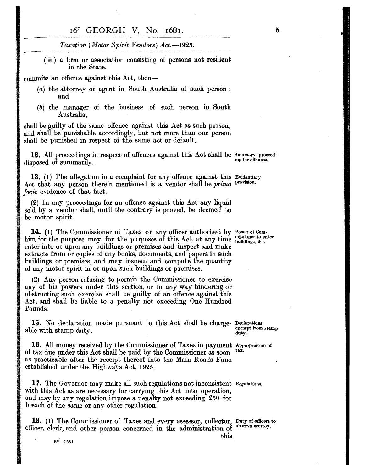#### 16° GEORGII V, No. 1681.

 $\textit{Taxation (Motor Spirit Vendors)}$  Act.-1925.

(iii.) a firm or association consisting of persons not resident in the State,

commits an offence against this Act, then--

- (a) the attorney or agent in South Australia of such person; and
- (b) the manager of the business of such person in South Australia,

shall be guilty of the same offence against this Act as such person, and shall be punishable accordingly, but not more than one person shall be punished in respect of the same act or default.

12. All proceedings in respect of offences against this Act shall be Summary proceed-<br>ing for offences. disposed of summarily.

13. (1) The allegation in a complaint for any offence against this Evidentiary Act that any person therein mentioned is a vendor shall be *prima* provision. *facie* evidence of that fact.

(2) In any proceedings for an offence against this Act any liquid sold by a vendor shall, until the contrary is proved, be deemed to be motor spirit.

14. (1) The Commissioner of Taxes or any officer authorised by Power of Comhim for the purpose may, for the purposes of this Act, at any time buildings, &c. enter into or upon any buildings or premises and inspect and make . extracts from or copies of any books, documents, and papers in such buildings or premises, and may inspect and compute the quantity of any motor spirit in or upon such buildings or premises.

(2) Any person refusing to permit the Commissioner to exercise any of his powers under this section, or in any way hindering or obstructing such exercise shall be guilty of an offence against this Act, and shall be liable to a penalty not exceeding One Hundred Pounds.

15. No declaration made pursuant to this Act shall be charge- Declarations stamp able with stamp duty.  $\frac{1}{\text{wty}}$ 

16. All money received by the Commissioner of Taxes in payment Appropriation of tax due under this Act shall be paid by the Commissioner as seen tax. of tax due under this Act shall be paid by the Commissioner as soon as practicable after the receipt thereof into the Main Roads Fund established under the Highways Act, 1925.

17. The Governor may make all such regulations not inconsistent Regulations. with this Act as are necessary for carrying this Act into operation, and may by any regulation impose a penalty not exceeding £50 for breach of the same or any other regulation.

18. (1) The Commissioner of Taxes and every assessor, collector, Duty of officers to officer, clerk, and other person concerned in the administration of observe secrecy.

5

this

 $B^* - 1681$